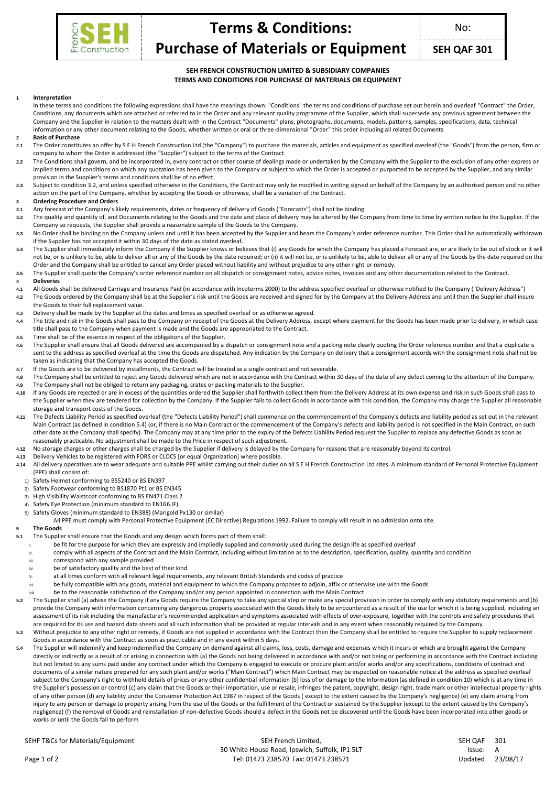

**Terms & Conditions: Purchase of Materials or Equipment**

**SEH QAF 301**

# **SEH FRENCH CONSTRUCTION LIMITED & SUBSIDIARY COMPANIES TERMS AND CONDITIONS FOR PURCHASE OF MATERIALS OR EQUIPMENT**

### **1 Interpretation**

- In these terms and conditions the following expressions shall have the meanings shown: "Conditions" the terms and conditions of purchase set out herein and overleaf "Contract" the Order, Conditions, any documents which are attached or referred to in the Order and any relevant quality programme of the Supplier, which shall supersede any previous agreement between the Company and the Supplier in relation to the matters dealt with in the Contract "Documents" plans, photographs, documents, models, patterns, samples, specifications, data, technical information or any other document relating to the Goods, whether written or oral or three-dimensional "Order" this order including all related Documents
- **2 Basis of Purchase**
- 2.1 The Order constitutes an offer by S E H French Construction Ltd (the "Company") to purchase the materials, articles and equipment as specified overleaf (the "Goods") from the person, firm or company to whom the Order is addressed (the "Supplier") subject to the terms of the Contract.
- 2.2 The Conditions shall govern, and be incorporated in, every contract or other course of dealings made or undertaken by the Company with the Supplier to the exclusion of any other express or implied terms and conditions on which any quotation has been given to the Company or subject to which the Order is accepted or purported to be accepted by the Supplier, and any similar provision in the Supplier's terms and conditions shall be of no effect.
- 2.3 Subject to condition 3.2, and unless specified otherwise in the Conditions, the Contract may only be modified in writing signed on behalf of the Company by an authorised person and no other action on the part of the Company, whether by accepting the Goods or otherwise, shall be a variation of the Contract.

#### **3 Ordering Procedure and Orders**

- **3.1** Any forecast of the Company's likely requirements, dates or frequency of delivery of Goods ("Forecasts") shall not be binding.
- **3.2** The quality and quantity of, and Documents relating to the Goods and the date and place of delivery may be altered by the Company from time to time by written notice to the Supplier. If the Company so requests, the Supplier shall provide a reasonable sample of the Goods to the Company.
- **3.3** No Order shall be binding on the Company unless and until it has been accepted by the Supplier and bears the Company's order reference number. This Order shall be automatically withdrawn if the Supplier has not accepted it within 30 days of the date as stated overleaf.
- 3.4 The Supplier shall immediately inform the Company if the Supplier knows or believes that (i) any Goods for which the Company has placed a Forecast are, or are likely to be out of stock or it will not be, or is unlikely to be, able to deliver all or any of the Goods by the date required; or (ii) it will not be, or is unlikely to be, able to deliver all or any of the Goods by the date required on the Order and the Company shall be entitled to cancel any Order placed without liability and without prejudice to any other right or remedy.
- **3.5** The Supplier shall quote the Company's order reference number on all dispatch or consignment notes, advice notes, invoices and any other documentation related to the Contract.

#### **4 Deliveries**

- **4.1** All Goods shall be delivered Carriage and Insurance Paid (in accordance with Incoterms 2000) to the address specified overleaf or otherwise notified to the Company ("Delivery Address")
- 4.2 The Goods ordered by the Company shall be at the Supplier's risk until the Goods are received and signed for by the Company at the Delivery Address and until then the Supplier shall insure the Goods to their full replacement value.
- **4.3** Delivery shall be made by the Supplier at the dates and times as specified overleaf or as otherwise agreed.
- 4.4 The title and risk in the Goods shall pass to the Company on receipt of the Goods at the Delivery Address, except where payment for the Goods has been made prior to delivery, in which case title shall pass to the Company when payment is made and the Goods are appropriated to the Contract.
- **4.5** Time shall be of the essence in respect of the obligations of the Supplier.
- 4.6 The Supplier shall ensure that all Goods delivered are accompanied by a dispatch or consignment note and a packing note clearly quoting the Order reference number and that a duplicate is sent to the address as specified overleaf at the time the Goods are dispatched. Any indication by the Company on delivery that a consignment accords with the consignment note shall not be taken as indicating that the Company has accepted the Goods.
- **4.7** If the Goods are to be delivered by installments, the Contract will be treated as a single contract and not severable.
- 4.8 The Company shall be entitled to reject any Goods delivered which are not in accordance with the Contract within 30 days of the date of any defect coming to the attention of the Company.
- **4.9** The Company shall not be obliged to return any packaging, crates or packing materials to the Supplier. **4.10** If any Goods are rejected or are in excess of the quantities ordered the Supplier shall forthwith collect them from the Delivery Address at its own expense and risk in such Goods shall pass to the Supplier when they are tendered for collection by the Company. If the Supplier fails to collect Goods in accordance with this condition, the Company may charge the Supplier all reasonable storage and transport costs of the Goods.
- **4.11** The Defects Liability Period as specified overleaf (the "Defects Liability Period") shall commence on the commencement of the Company's defects and liability period as set out in the relevant Main Contract (as defined in condition 5.4) (or, if there is no Main Contract or the commencement of the Company's defects and liability period is not specified in the Main Contract, on such other date as the Company shall specify). The Company may at any time prior to the expiry of the Defects Liability Period request the Supplier to replace any defective Goods as soon as reasonably practicable. No adjustment shall be made to the Price in respect of such adjustment.
- **4.12** No storage charges or other charges shall be charged by the Supplier if delivery is delayed by the Company for reasons that are reasonably beyond its control.
- **4.13** Delivery Vehicles to be registered with FORS or CLOCS [or equal Organization] where possible.
- **4.14** All delivery operatives are to wear adequate and suitable PPE whilst carrying out their duties on all S E H French Construction Ltd sites. A minimum standard of Personal Protective Equipment (PPE) shall consist of:
	- 1) Safety Helmet conforming to BS5240 or BS EN397
	- 2) Safety Footwear conforming to BS1870 Pt1 or BS EN345
	- 3) High Visibility Waistcoat conforming to BS EN471 Class 2
	- 4) Safety Eye Protection (minimum standard to EN166.IF)
	- 5) Safety Gloves (minimum standard to EN388) (Marigold Px130 or similar)
		- All PPE must comply with Personal Protective Equipment (EC Directive) Regulations 1992. Failure to comply will result in no admission onto site.

# **5 The Goods**

- **5.1** The Supplier shall ensure that the Goods and any design which forms part of them shall:
	- be fit for the purpose for which they are expressly and impliedly supplied and commonly used during the design life as specified overleaf
	- comply with all aspects of the Contract and the Main Contract, including without limitation as to the description, specification, quality, quantity and condition
- correspond with any sample provided
- be of satisfactory quality and the best of their kind
- at all times conform with all relevant legal requirements, any relevant British Standards and codes of practice
- be fully compatible with any goods, material and equipment to which the Company proposes to adjoin, affix or otherwise use with the Goods
- be to the reasonable satisfaction of the Company and/or any person appointed in connection with the Main Contract
- **5.2** The Supplier shall (a) advise the Company if any Goods require the Company to take any special step or make any special provision in order to comply with any statutory requirements and (b) provide the Company with information concerning any dangerous property associated with the Goods likely to be encountered as a result of the use for which it is being supplied, including an assessment of its risk including the manufacturer's recommended application and symptoms associated with effects of over-exposure, together with the controls and safety procedures that are required for its use and hazard data sheets and all such information shall be provided at regular intervals and in any event when reasonably required by the Company.
- **5.3** Without prejudice to any other right or remedy, if Goods are not supplied in accordance with the Contract then the Company shall be entitled to require the Supplier to supply replacement Goods in accordance with the Contract as soon as practicable and in any event within 5 days.
- **5.4** The Supplier will indemnify and keep indemnified the Company on demand against all claims, loss, costs, damage and expenses which it incurs or which are brought against the Company directly or indirectly as a result of or arising in connection with (a) the Goods not being delivered in accordance with and/or not being or performing in accordance with the Contract including but not limited to any sums paid under any contract under which the Company is engaged to execute or procure plant and/or works and/or any specifications, conditions of contract and documents of a similar nature prepared for any such plant and/or works ("Main Contract") which Main Contract may be inspected on reasonable notice at the address as specified overleaf subject to the Company's right to withhold details of prices or any other confidential information (b) loss of or damage to the Information (as defined in condition 10) which is at any time in the Supplier's possession or control (c) any claim that the Goods or their importation, use or resale, infringes the patent, copyright, design right, trade mark or other intellectual property rights of any other person (d) any liability under the Consumer Protection Act 1987 in respect of the Goods ( except to the extent caused by the Company's negligence) (e) any claim arising from injury to any person or damage to property arising from the use of the Goods or the fulfillment of the Contract or sustained by the Supplier (except to the extent caused by the Company's negligence) (f) the removal of Goods and reinstallation of non-defective Goods should a defect in the Goods not be discovered until the Goods have been incorporated into other goods or works or until the Goods fail to perform